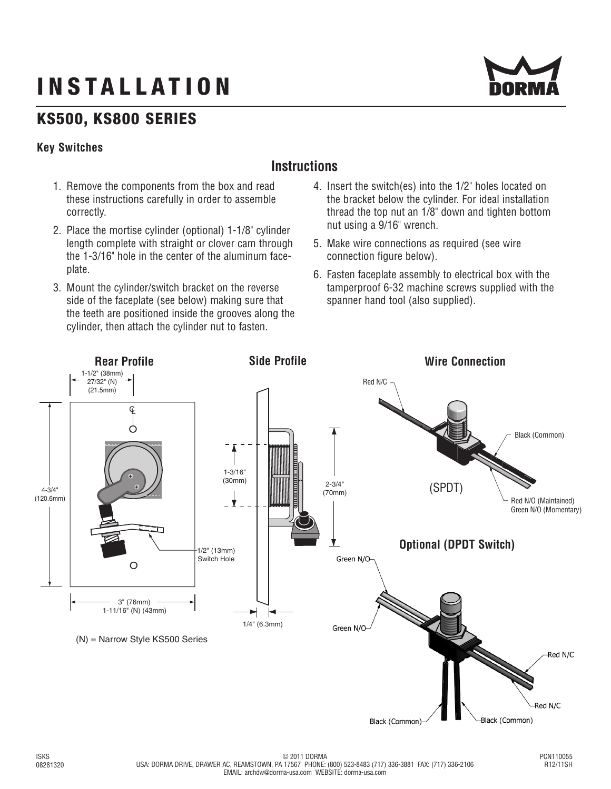# **INSTALLATION**



## **KS500, KS800 SERIES**

#### **Key Switches**

### **Instructions**

- 1. Remove the components from the box and read these instructions carefully in order to assemble correctly.
- 2. Place the mortise cylinder (optional) 1-1/8" cylinder length complete with straight or clover cam through the 1-3/16" hole in the center of the aluminum faceplate.
- 3. Mount the cylinder/switch bracket on the reverse side of the faceplate (see below) making sure that the teeth are positioned inside the grooves along the cylinder, then attach the cylinder nut to fasten.
- 4. Insert the switch(es) into the 1/2" holes located on the bracket below the cylinder. For ideal installation thread the top nut an 1/8" down and tighten bottom nut using a 9/16" wrench.
- 5. Make wire connections as required (see wire connection figure below).
- 6. Fasten faceplate assembly to electrical box with the tamperproof 6-32 machine screws supplied with the spanner hand tool (also supplied).

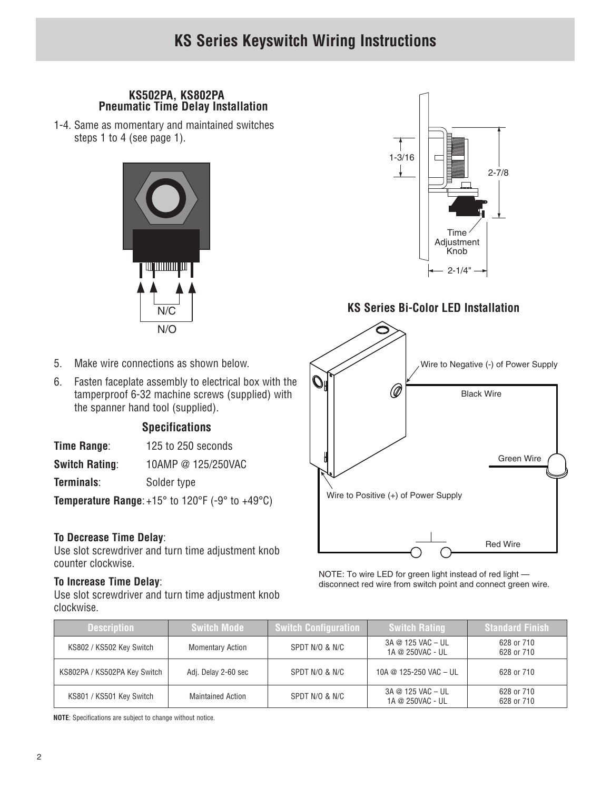#### **KS502PA, KS802PA Pneumatic Time Delay Installation**

1-4. Same as momentary and maintained switches steps 1 to 4 (see page 1).



- 5. Make wire connections as shown below.
- 6. Fasten faceplate assembly to electrical box with the tamperproof 6-32 machine screws (supplied) with the spanner hand tool (supplied).

#### **Specifications**

| Time Range: | 125 to 250 seconds |
|-------------|--------------------|
|-------------|--------------------|

| <b>Switch Rating:</b> | 10AMP @ 125/250VAC |
|-----------------------|--------------------|
|                       |                    |

**Terminals:** Solder type

**Temperature Range**: +15° to 120°F (-9° to +49°C)

#### **To Decrease Time Delay**:

Use slot screwdriver and turn time adjustment knob counter clockwise.

#### **To Increase Time Delay**:

Use slot screwdriver and turn time adjustment knob clockwise.



#### **KS Series Bi-Color LED Installation**



NOTE: To wire LED for green light instead of red light disconnect red wire from switch point and connect green wire.

| <b>Description</b>           | <b>Switch Mode</b>       | <b>Switch Configuration</b> | <b>Switch Rating</b>                  | <b>Standard Finish</b>   |
|------------------------------|--------------------------|-----------------------------|---------------------------------------|--------------------------|
| KS802 / KS502 Key Switch     | <b>Momentary Action</b>  | SPDT N/O & N/C              | 3A @ 125 VAC - UL<br>1A @ 250VAC - UL | 628 or 710<br>628 or 710 |
| KS802PA / KS502PA Key Switch | Adj. Delay 2-60 sec      | SPDT N/O & N/C              | 10A @ 125-250 VAC - UL                | 628 or 710               |
| KS801 / KS501 Key Switch     | <b>Maintained Action</b> | SPDT N/O & N/C              | 3A @ 125 VAC - UL<br>1A @ 250VAC - UL | 628 or 710<br>628 or 710 |

**NOTE**: Specifications are subject to change without notice.